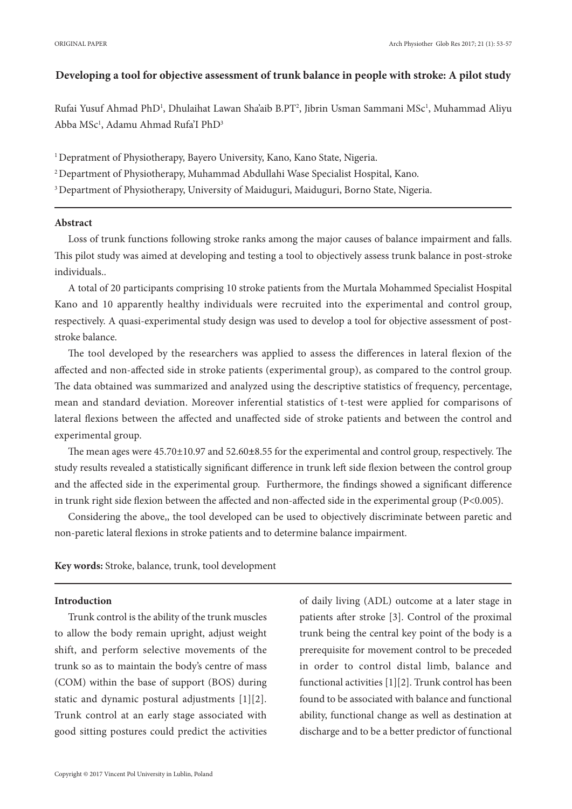## **Developing a tool for objective assessment of trunk balance in people with stroke: A pilot study**

Rufai Yusuf Ahmad PhD<sup>1</sup>, Dhulaihat Lawan Sha'aib B.PT<sup>2</sup>, Jibrin Usman Sammani MSc<sup>1</sup>, Muhammad Aliyu Abba MSc $^1$ , Adamu Ahmad Rufa'I PhD $^3$ 

<sup>1</sup> Depratment of Physiotherapy, Bayero University, Kano, Kano State, Nigeria.

2 Department of Physiotherapy, Muhammad Abdullahi Wase Specialist Hospital, Kano.

<sup>3</sup> Department of Physiotherapy, University of Maiduguri, Maiduguri, Borno State, Nigeria.

# **Abstract**

Loss of trunk functions following stroke ranks among the major causes of balance impairment and falls. This pilot study was aimed at developing and testing a tool to objectively assess trunk balance in post-stroke individuals..

A total of 20 participants comprising 10 stroke patients from the Murtala Mohammed Specialist Hospital Kano and 10 apparently healthy individuals were recruited into the experimental and control group, respectively. A quasi-experimental study design was used to develop a tool for objective assessment of poststroke balance.

The tool developed by the researchers was applied to assess the differences in lateral flexion of the affected and non-affected side in stroke patients (experimental group), as compared to the control group. The data obtained was summarized and analyzed using the descriptive statistics of frequency, percentage, mean and standard deviation. Moreover inferential statistics of t-test were applied for comparisons of lateral flexions between the affected and unaffected side of stroke patients and between the control and experimental group.

The mean ages were 45.70±10.97 and 52.60**±**8.55 for the experimental and control group, respectively. The study results revealed a statistically significant difference in trunk left side flexion between the control group and the affected side in the experimental group. Furthermore, the findings showed a significant difference in trunk right side flexion between the affected and non-affected side in the experimental group (P<0.005).

Considering the above,, the tool developed can be used to objectively discriminate between paretic and non-paretic lateral flexions in stroke patients and to determine balance impairment.

**Key words:** Stroke, balance, trunk, tool development

#### **Introduction**

Trunk control is the ability of the trunk muscles to allow the body remain upright, adjust weight shift, and perform selective movements of the trunk so as to maintain the body's centre of mass (COM) within the base of support (BOS) during static and dynamic postural adjustments [1][2]. Trunk control at an early stage associated with good sitting postures could predict the activities of daily living (ADL) outcome at a later stage in patients after stroke [3]. Control of the proximal trunk being the central key point of the body is a prerequisite for movement control to be preceded in order to control distal limb, balance and functional activities [1][2]. Trunk control has been found to be associated with balance and functional ability, functional change as well as destination at discharge and to be a better predictor of functional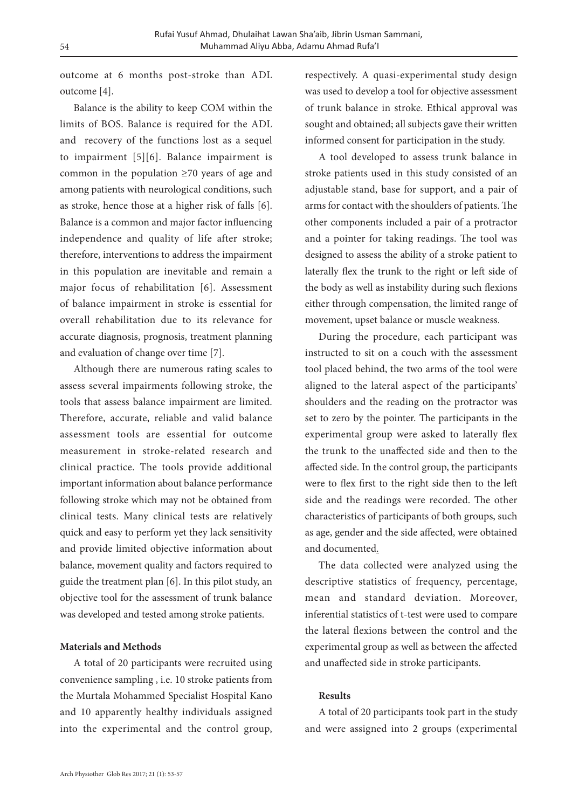outcome at 6 months post-stroke than ADL outcome [4].

Balance is the ability to keep COM within the limits of BOS. Balance is required for the ADL and recovery of the functions lost as a sequel to impairment [5][6]. Balance impairment is common in the population ≥70 years of age and among patients with neurological conditions, such as stroke, hence those at a higher risk of falls [6]. Balance is a common and major factor influencing independence and quality of life after stroke; therefore, interventions to address the impairment in this population are inevitable and remain a major focus of rehabilitation [6]. Assessment of balance impairment in stroke is essential for overall rehabilitation due to its relevance for accurate diagnosis, prognosis, treatment planning and evaluation of change over time [7].

Although there are numerous rating scales to assess several impairments following stroke, the tools that assess balance impairment are limited. Therefore, accurate, reliable and valid balance assessment tools are essential for outcome measurement in stroke-related research and clinical practice. The tools provide additional important information about balance performance following stroke which may not be obtained from clinical tests. Many clinical tests are relatively quick and easy to perform yet they lack sensitivity and provide limited objective information about balance, movement quality and factors required to guide the treatment plan [6]. In this pilot study, an objective tool for the assessment of trunk balance was developed and tested among stroke patients.

## **Materials and Methods**

A total of 20 participants were recruited using convenience sampling , i.e. 10 stroke patients from the Murtala Mohammed Specialist Hospital Kano and 10 apparently healthy individuals assigned into the experimental and the control group, respectively. A quasi-experimental study design was used to develop a tool for objective assessment of trunk balance in stroke. Ethical approval was sought and obtained; all subjects gave their written informed consent for participation in the study.

A tool developed to assess trunk balance in stroke patients used in this study consisted of an adjustable stand, base for support, and a pair of arms for contact with the shoulders of patients. The other components included a pair of a protractor and a pointer for taking readings. The tool was designed to assess the ability of a stroke patient to laterally flex the trunk to the right or left side of the body as well as instability during such flexions either through compensation, the limited range of movement, upset balance or muscle weakness.

During the procedure, each participant was instructed to sit on a couch with the assessment tool placed behind, the two arms of the tool were aligned to the lateral aspect of the participants' shoulders and the reading on the protractor was set to zero by the pointer. The participants in the experimental group were asked to laterally flex the trunk to the unaffected side and then to the affected side. In the control group, the participants were to flex first to the right side then to the left side and the readings were recorded. The other characteristics of participants of both groups, such as age, gender and the side affected, were obtained and documented.

The data collected were analyzed using the descriptive statistics of frequency, percentage, mean and standard deviation. Moreover, inferential statistics of t-test were used to compare the lateral flexions between the control and the experimental group as well as between the affected and unaffected side in stroke participants.

### **Results**

A total of 20 participants took part in the study and were assigned into 2 groups (experimental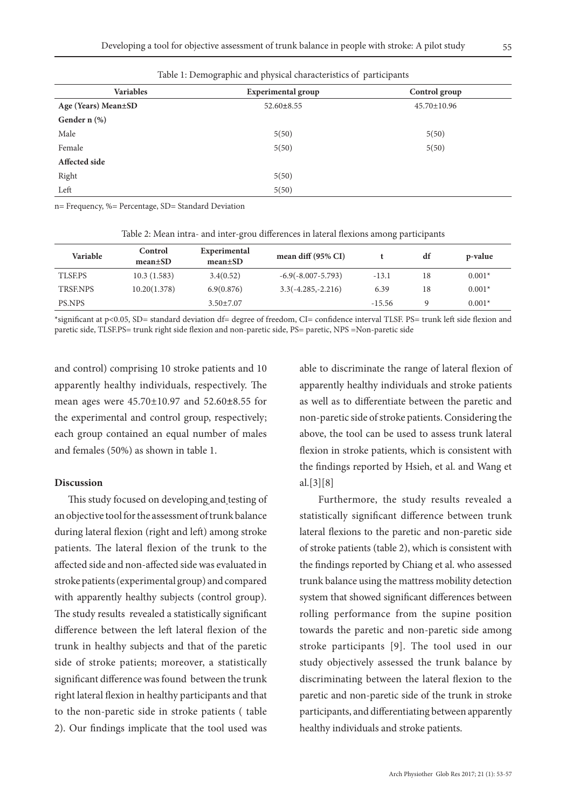| <b>Variables</b>    | <b>Experimental group</b> | Control group     |  |  |
|---------------------|---------------------------|-------------------|--|--|
| Age (Years) Mean±SD | $52.60 \pm 8.55$          | $45.70 \pm 10.96$ |  |  |
| Gender n (%)        |                           |                   |  |  |
| Male                | 5(50)                     | 5(50)             |  |  |
| Female              | 5(50)                     | 5(50)             |  |  |
| Affected side       |                           |                   |  |  |
| Right               | 5(50)                     |                   |  |  |
| Left                | 5(50)                     |                   |  |  |

Table 1: Demographic and physical characteristics of participants

n= Frequency, %= Percentage, SD= Standard Deviation

| Table 2: Mean intra- and inter-grou differences in lateral flexions among participants |  |  |  |  |  |  |  |  |
|----------------------------------------------------------------------------------------|--|--|--|--|--|--|--|--|
|----------------------------------------------------------------------------------------|--|--|--|--|--|--|--|--|

| Variable       | Control<br>$mean \pm SD$ | Experimental<br>$mean \pm SD$ | mean diff $(95\% \text{ CI})$ |          | df | p-value  |
|----------------|--------------------------|-------------------------------|-------------------------------|----------|----|----------|
| <b>TLSEPS</b>  | 10.3(1.583)              | 3.4(0.52)                     | $-6.9(-8.007-5.793)$          | $-13.1$  | 18 | $0.001*$ |
| <b>TRSENPS</b> | 10.20(1.378)             | 6.9(0.876)                    | $3.3(-4.285,-2.216)$          | 6.39     | 18 | $0.001*$ |
| <b>PS.NPS</b>  |                          | $3.50 \pm 7.07$               |                               | $-15.56$ |    | $0.001*$ |

\*significant at p<0.05, SD= standard deviation df= degree of freedom, CI= confidence interval TLSF. PS= trunk left side flexion and paretic side, TLSF.PS= trunk right side flexion and non-paretic side, PS= paretic, NPS =Non-paretic side

and control) comprising 10 stroke patients and 10 apparently healthy individuals, respectively. The mean ages were 45.70±10.97 and 52.60**±**8.55 for the experimental and control group, respectively; each group contained an equal number of males and females (50%) as shown in table 1.

## **Discussion**

This study focused on developing and testing of an objective tool for the assessment of trunk balance during lateral flexion (right and left) among stroke patients. The lateral flexion of the trunk to the affected side and non-affected side was evaluated in stroke patients (experimental group) and compared with apparently healthy subjects (control group). The study results revealed a statistically significant difference between the left lateral flexion of the trunk in healthy subjects and that of the paretic side of stroke patients; moreover, a statistically significant difference was found between the trunk right lateral flexion in healthy participants and that to the non-paretic side in stroke patients ( table 2). Our findings implicate that the tool used was

able to discriminate the range of lateral flexion of apparently healthy individuals and stroke patients as well as to differentiate between the paretic and non-paretic side of stroke patients. Considering the above, the tool can be used to assess trunk lateral flexion in stroke patients, which is consistent with the findings reported by Hsieh, et al. and Wang et al.[3][8]

 Furthermore, the study results revealed a statistically significant difference between trunk lateral flexions to the paretic and non-paretic side of stroke patients (table 2), which is consistent with the findings reported by Chiang et al. who assessed trunk balance using the mattress mobility detection system that showed significant differences between rolling performance from the supine position towards the paretic and non-paretic side among stroke participants [9]. The tool used in our study objectively assessed the trunk balance by discriminating between the lateral flexion to the paretic and non-paretic side of the trunk in stroke participants, and differentiating between apparently healthy individuals and stroke patients.